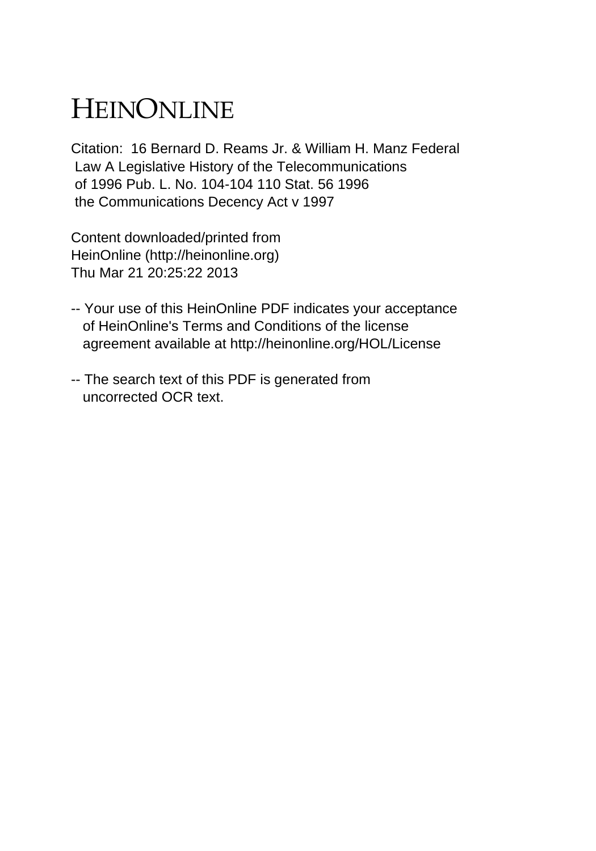## HEINONLINE

Citation: 16 Bernard D. Reams Jr. & William H. Manz Federal Law A Legislative History of the Telecommunications of 1996 Pub. L. No. 104-104 110 Stat. 56 1996 the Communications Decency Act v 1997

Content downloaded/printed from HeinOnline (http://heinonline.org) Thu Mar 21 20:25:22 2013

- -- Your use of this HeinOnline PDF indicates your acceptance of HeinOnline's Terms and Conditions of the license agreement available at http://heinonline.org/HOL/License
- -- The search text of this PDF is generated from uncorrected OCR text.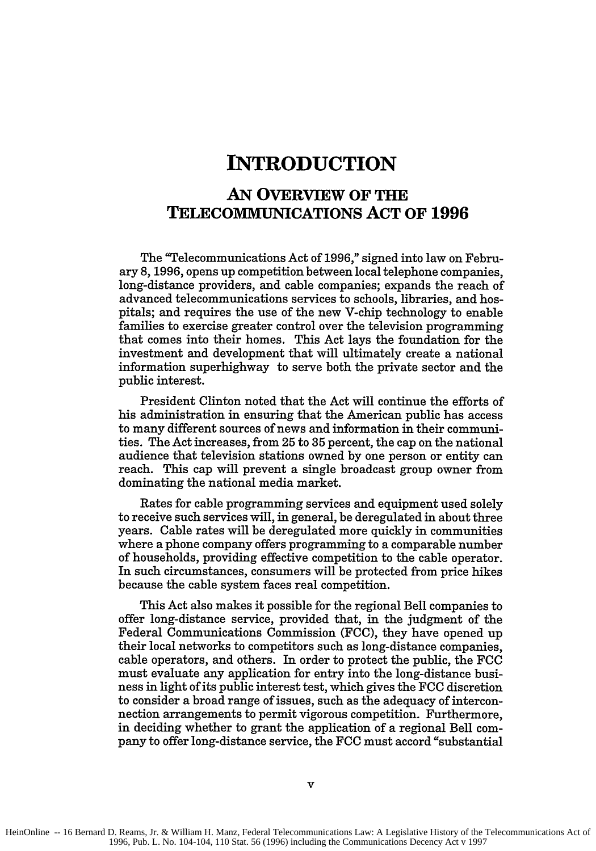## **INTRODUCTION**

## **AN OVERVIEW OF THE TELECOMMUNICATIONS ACT OF 1996**

The "Telecommunications Act of 1996," signed into law on February 8, 1996, opens up competition between local telephone companies, long-distance providers, and cable companies; expands the reach of advanced telecommunications services to schools, libraries, and hospitals; and requires the use of the new V-chip technology to enable families to exercise greater control over the television programming that comes into their homes. This Act lays the foundation for the investment and development that will ultimately create a national information superhighway to serve both the private sector and the public interest.

President Clinton noted that the Act will continue the efforts of his administration in ensuring that the American public has access to many different sources of news and information in their communities. The Act increases, from 25 to 35 percent, the cap on the national audience that television stations owned by one person or entity can reach. This cap will prevent a single broadcast group owner from dominating the national media market.

Rates for cable programming services and equipment used solely to receive such services will, in general, be deregulated in about three years. Cable rates will be deregulated more quickly in communities where a phone company offers programming to a comparable number of households, providing effective competition to the cable operator. In such circumstances, consumers will be protected from price hikes because the cable system faces real competition.

This Act also makes it possible for the regional Bell companies to offer long-distance service, provided that, in the judgment of the Federal Communications Commission (FCC), they have opened up their local networks to competitors such as long-distance companies, cable operators, and others. In order to protect the public, the FCC must evaluate any application for entry into the long-distance business in light of its public interest test, which gives the **FCC** discretion to consider a broad range of issues, such as the adequacy of interconnection arrangements to permit vigorous competition. Furthermore, in deciding whether to grant the application of a regional Bell company to offer long-distance service, the **FCC** must accord "substantial